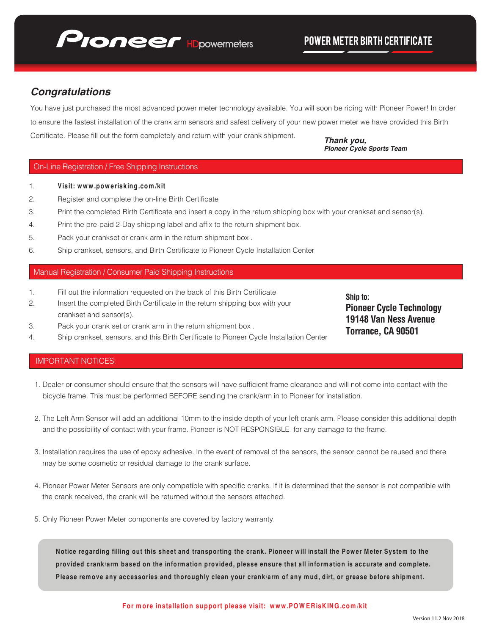

# *Congratulations*

You have just purchased the most advanced power meter technology available. You will soon be riding with Pioneer Power! In order to ensure the fastest installation of the crank arm sensors and safest delivery of your new power meter we have provided this Birth Certificate. Please fill out the form completely and return with your crank shipment.

*Thank you, Pioneer Cycle Sports Team*

### On-Line Registration / Free Shipping Instructions

- 1. **Visit: www.powerisking.com/kit**
- 2. Register and complete the on-line Birth Certificate
- 3. Print the completed Birth Certificate and insert a copy in the return shipping box with your crankset and sensor(s).
- 4. Print the pre-paid 2-Day shipping label and affix to the return shipment box.
- 5. Pack your crankset or crank arm in the return shipment box .
- 6. Ship crankset, sensors, and Birth Certificate to Pioneer Cycle Installation Center

### Manual Registration / Consumer Paid Shipping Instructions

- 1. Fill out the information requested on the back of this Birth Certificate
- 2. Insert the completed Birth Certificate in the return shipping box with your crankset and sensor(s).
- 3. Pack your crank set or crank arm in the return shipment box .
- 4. Ship crankset, sensors, and this Birth Certificate to Pioneer Cycle Installation Center

# **Ship to: Pioneer Cycle Technology 19148 Van Ness Avenue Torrance, CA 90501**

## IMPORTANT NOTICES:

- 1. Dealer or consumer should ensure that the sensors will have sufficient frame clearance and will not come into contact with the bicycle frame. This must be performed BEFORE sending the crank/arm in to Pioneer for installation.
- 2. The Left Arm Sensor will add an additional 10mm to the inside depth of your left crank arm. Please consider this additional depth and the possibility of contact with your frame. Pioneer is NOT RESPONSIBLE for any damage to the frame.
- 3. Installation requires the use of epoxy adhesive. In the event of removal of the sensors, the sensor cannot be reused and there may be some cosmetic or residual damage to the crank surface.
- 4. Pioneer Power Meter Sensors are only compatible with specific cranks. If it is determined that the sensor is not compatible with the crank received, the crank will be returned without the sensors attached.
- 5. Only Pioneer Power Meter components are covered by factory warranty.

**Notice regarding filling out this sheet and transporting the crank. Pioneer will install the Power Meter System to the provided crank/arm based on the information provided, please ensure that all information is accurate and complete. Please remove any accessories and thoroughly clean your crank/arm of any mud, dirt, or grease before shipment.**

#### **For more installation support please visit: www.POWERisKING.com/kit**